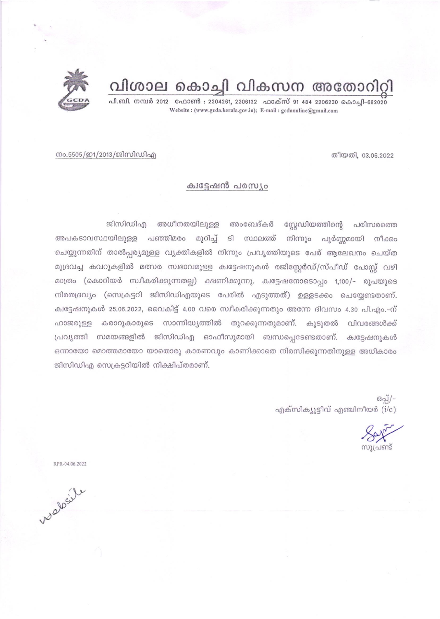

പി.ബി. നമ്പർ 2012 ഫോൺ : 2204261, 2206122 ഫാക്സ് 91 484 2206230 കൊച്ചി-682020 Website: (www.gcda.kerala.gov.in); E-mail: gcdaonline@gmail.com



നം.5505/ഇ1/2013/ജിസിഡിഎ

## ക്വട്ടേഷൻ പരസ്യം

സ്റ്റേഡിയത്തിന്റെ പരിസരത്തെ ജിസിഡിഎ അധീനതയിലുള്ള അംബേദ്കർ അപകടാവസ്ഥയിലുള്ള പഞ്ഞിമരം മുറിച്ച് ടി സ്ഥലത്ത് നിന്നും പൂർണ്ണമായി നീക്കം ചെയ്യുന്നതിന് താൽപ്പര്യമുള്ള വ്യക്തികളിൽ നിന്നും പ്രവൃത്തിയുടെ പേര് ആലേഖനം ചെയ്ത മുദ്രവച്ച കവറുകളിൽ മത്സര സ്വഭാവമുള്ള ക്വട്ടേഷനുകൾ രജിസ്റ്റേർഡ്/സ്പീഡ് പോസ്റ്റ് വഴി മാത്രം (കൊറിയർ സ്വീകരിക്കുന്നതല്ല) ക്ഷണിക്കുന്നു. ക്വട്ടേഷനോടൊപ്പം 1,100/- രൂപയുടെ നിരതദ്രവ്യം (സെക്രട്ടറി ജിസിഡിഎയുടെ പേരിൽ എടുത്തത്) ഉള്ളടക്കം ചെയ്യേണ്ടതാണ്. ക്വട്ടേഷനുകൾ 25.06.2022, വൈകിട്ട് 4.00 വരെ സ്വീകരിക്കുന്നതും അന്നേ ദിവസം 4.30 പി.എം.-ന് ഹാജരുള്ള കരാറുകാരുടെ സാന്നിദ്ധ്യത്തിൽ തുറക്കുന്നതുമാണ്. കൂടുതൽ വിവരങ്ങൾക്ക് പ്രവൃത്തി സമയങ്ങളിൽ ജിസിഡിഎ ഓഫീസുമായി ബന്ധപ്പെടേണ്ടതാണ്. ക്വട്ടേഷനുകൾ ഒന്നായോ മൊത്തമായോ യാതൊരു കാരണവും കാണിക്കാതെ നിരസിക്കുന്നതിനുള്ള അധികാരം ജിസിഡിഎ സെക്രട്ടറിയിൽ നിക്ഷിപ്തമാണ്.

> $B_2$  /-എക്സിക്യൂട്ടീവ് എഞ്ചിനീയർ (i/c)

RPR-04.06.2022

welless le